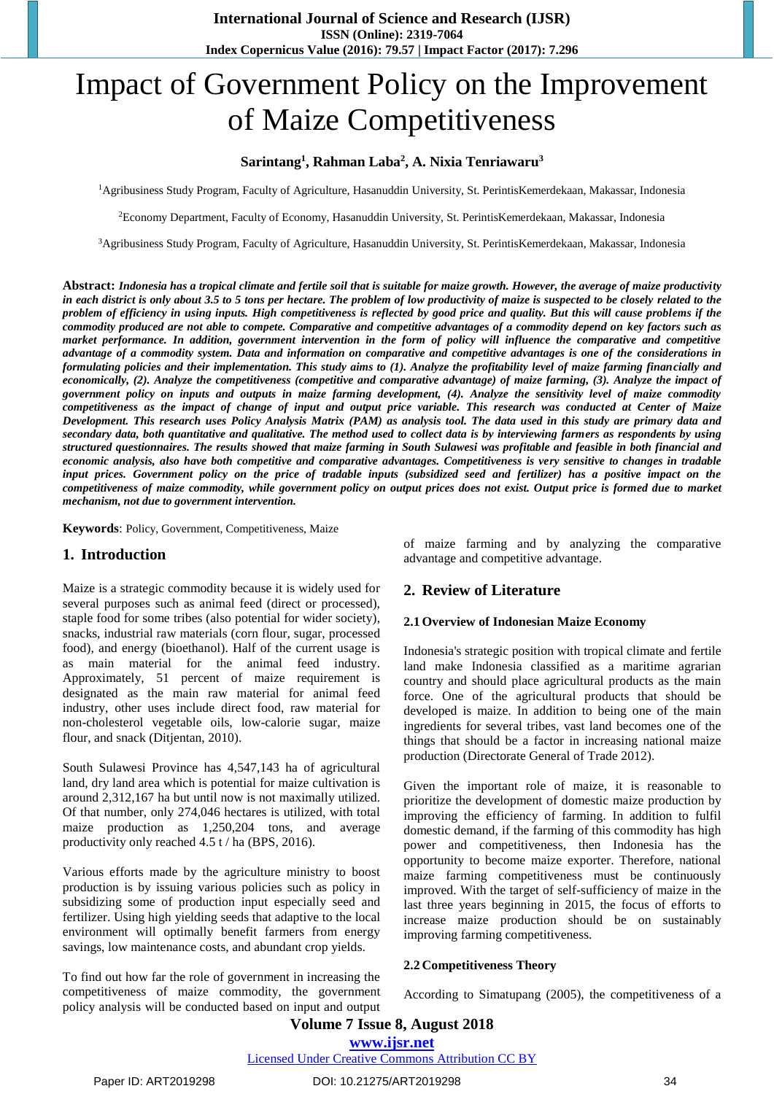# Impact of Government Policy on the Improvement of Maize Competitiveness

## **Sarintang<sup>1</sup> , Rahman Laba<sup>2</sup> , A. Nixia Tenriawaru<sup>3</sup>**

<sup>1</sup>Agribusiness Study Program, Faculty of Agriculture, Hasanuddin University, St. PerintisKemerdekaan, Makassar, Indonesia

<sup>2</sup>Economy Department, Faculty of Economy, Hasanuddin University, St. PerintisKemerdekaan, Makassar, Indonesia

<sup>3</sup>Agribusiness Study Program, Faculty of Agriculture, Hasanuddin University, St. PerintisKemerdekaan, Makassar, Indonesia

**Abstract:** *Indonesia has a tropical climate and fertile soil that is suitable for maize growth. However, the average of maize productivity in each district is only about 3.5 to 5 tons per hectare. The problem of low productivity of maize is suspected to be closely related to the problem of efficiency in using inputs. High competitiveness is reflected by good price and quality. But this will cause problems if the commodity produced are not able to compete. Comparative and competitive advantages of a commodity depend on key factors such as market performance. In addition, government intervention in the form of policy will influence the comparative and competitive advantage of a commodity system. Data and information on comparative and competitive advantages is one of the considerations in formulating policies and their implementation. This study aims to (1). Analyze the profitability level of maize farming financially and economically, (2). Analyze the competitiveness (competitive and comparative advantage) of maize farming, (3). Analyze the impact of government policy on inputs and outputs in maize farming development, (4). Analyze the sensitivity level of maize commodity competitiveness as the impact of change of input and output price variable. This research was conducted at Center of Maize Development. This research uses Policy Analysis Matrix (PAM) as analysis tool. The data used in this study are primary data and secondary data, both quantitative and qualitative. The method used to collect data is by interviewing farmers as respondents by using structured questionnaires. The results showed that maize farming in South Sulawesi was profitable and feasible in both financial and economic analysis, also have both competitive and comparative advantages. Competitiveness is very sensitive to changes in tradable input prices. Government policy on the price of tradable inputs (subsidized seed and fertilizer) has a positive impact on the competitiveness of maize commodity, while government policy on output prices does not exist. Output price is formed due to market mechanism, not due to government intervention.*

**Keywords**: Policy, Government, Competitiveness, Maize

## **1. Introduction**

Maize is a strategic commodity because it is widely used for several purposes such as animal feed (direct or processed), staple food for some tribes (also potential for wider society), snacks, industrial raw materials (corn flour, sugar, processed food), and energy (bioethanol). Half of the current usage is as main material for the animal feed industry. Approximately, 51 percent of maize requirement is designated as the main raw material for animal feed industry, other uses include direct food, raw material for non-cholesterol vegetable oils, low-calorie sugar, maize flour, and snack (Ditjentan, 2010).

South Sulawesi Province has 4,547,143 ha of agricultural land, dry land area which is potential for maize cultivation is around 2,312,167 ha but until now is not maximally utilized. Of that number, only 274,046 hectares is utilized, with total maize production as 1,250,204 tons, and average productivity only reached 4.5 t / ha (BPS, 2016).

Various efforts made by the agriculture ministry to boost production is by issuing various policies such as policy in subsidizing some of production input especially seed and fertilizer. Using high yielding seeds that adaptive to the local environment will optimally benefit farmers from energy savings, low maintenance costs, and abundant crop yields.

To find out how far the role of government in increasing the competitiveness of maize commodity, the government policy analysis will be conducted based on input and output of maize farming and by analyzing the comparative advantage and competitive advantage.

## **2. Review of Literature**

#### **2.1 Overview of Indonesian Maize Economy**

Indonesia's strategic position with tropical climate and fertile land make Indonesia classified as a maritime agrarian country and should place agricultural products as the main force. One of the agricultural products that should be developed is maize. In addition to being one of the main ingredients for several tribes, vast land becomes one of the things that should be a factor in increasing national maize production (Directorate General of Trade 2012).

Given the important role of maize, it is reasonable to prioritize the development of domestic maize production by improving the efficiency of farming. In addition to fulfil domestic demand, if the farming of this commodity has high power and competitiveness, then Indonesia has the opportunity to become maize exporter. Therefore, national maize farming competitiveness must be continuously improved. With the target of self-sufficiency of maize in the last three years beginning in 2015, the focus of efforts to increase maize production should be on sustainably improving farming competitiveness.

#### **2.2 Competitiveness Theory**

According to Simatupang (2005), the competitiveness of a

#### [Licensed Under Creative Commons Attribution CC BY](http://creativecommons.org/licenses/by/4.0/)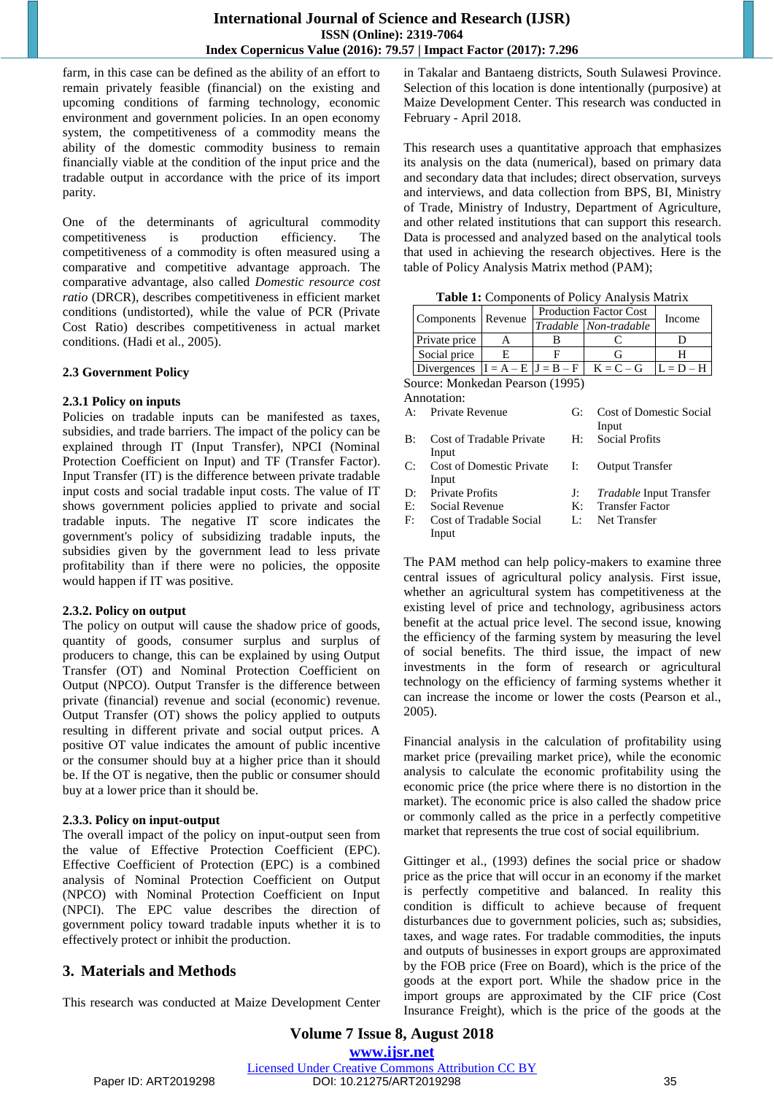farm, in this case can be defined as the ability of an effort to remain privately feasible (financial) on the existing and upcoming conditions of farming technology, economic environment and government policies. In an open economy system, the competitiveness of a commodity means the ability of the domestic commodity business to remain financially viable at the condition of the input price and the tradable output in accordance with the price of its import parity.

One of the determinants of agricultural commodity competitiveness is production efficiency. The competitiveness of a commodity is often measured using a comparative and competitive advantage approach. The comparative advantage, also called *Domestic resource cost ratio* (DRCR), describes competitiveness in efficient market conditions (undistorted), while the value of PCR (Private Cost Ratio) describes competitiveness in actual market conditions. (Hadi et al., 2005).

#### **2.3 Government Policy**

#### **2.3.1 Policy on inputs**

Policies on tradable inputs can be manifested as taxes, subsidies, and trade barriers. The impact of the policy can be explained through IT (Input Transfer), NPCI (Nominal Protection Coefficient on Input) and TF (Transfer Factor). Input Transfer (IT) is the difference between private tradable input costs and social tradable input costs. The value of IT shows government policies applied to private and social tradable inputs. The negative IT score indicates the government's policy of subsidizing tradable inputs, the subsidies given by the government lead to less private profitability than if there were no policies, the opposite would happen if IT was positive.

#### **2.3.2. Policy on output**

The policy on output will cause the shadow price of goods, quantity of goods, consumer surplus and surplus of producers to change, this can be explained by using Output Transfer (OT) and Nominal Protection Coefficient on Output (NPCO). Output Transfer is the difference between private (financial) revenue and social (economic) revenue. Output Transfer (OT) shows the policy applied to outputs resulting in different private and social output prices. A positive OT value indicates the amount of public incentive or the consumer should buy at a higher price than it should be. If the OT is negative, then the public or consumer should buy at a lower price than it should be.

#### **2.3.3. Policy on input-output**

The overall impact of the policy on input-output seen from the value of Effective Protection Coefficient (EPC). Effective Coefficient of Protection (EPC) is a combined analysis of Nominal Protection Coefficient on Output (NPCO) with Nominal Protection Coefficient on Input (NPCI). The EPC value describes the direction of government policy toward tradable inputs whether it is to effectively protect or inhibit the production.

## **3. Materials and Methods**

This research was conducted at Maize Development Center

in Takalar and Bantaeng districts, South Sulawesi Province. Selection of this location is done intentionally (purposive) at Maize Development Center. This research was conducted in February - April 2018.

This research uses a quantitative approach that emphasizes its analysis on the data (numerical), based on primary data and secondary data that includes; direct observation, surveys and interviews, and data collection from BPS, BI, Ministry of Trade, Ministry of Industry, Department of Agriculture, and other related institutions that can support this research. Data is processed and analyzed based on the analytical tools that used in achieving the research objectives. Here is the table of Policy Analysis Matrix method (PAM);

**Table 1:** Components of Policy Analysis Matrix

| Components   Revenue                |  | <b>Production Factor Cost</b> |                       |             |
|-------------------------------------|--|-------------------------------|-----------------------|-------------|
|                                     |  |                               | Tradable Non-tradable | Income      |
| Private price                       |  |                               |                       |             |
| Social price                        |  |                               |                       |             |
| Divergences $ I = A - E J = B - F $ |  |                               | $K = C - G$           | $L = D - H$ |

Source: Monkedan Pearson (1995) Annotation:

| A: Private Revenue                             | G: Cost of Domestic Social        |
|------------------------------------------------|-----------------------------------|
|                                                | Input                             |
| B: Cost of Tradable Private H: Social Profits  |                                   |
| Input                                          |                                   |
| C: Cost of Domestic Private I: Output Transfer |                                   |
| Input                                          |                                   |
| D: Private Profits                             | J: <i>Tradable</i> Input Transfer |
| E: Social Revenue                              | K: Transfer Factor                |
|                                                |                                   |

F: Cost of Tradable Social Input

L: Net Transfer

The PAM method can help policy-makers to examine three central issues of agricultural policy analysis. First issue, whether an agricultural system has competitiveness at the existing level of price and technology, agribusiness actors benefit at the actual price level. The second issue, knowing the efficiency of the farming system by measuring the level of social benefits. The third issue, the impact of new investments in the form of research or agricultural technology on the efficiency of farming systems whether it can increase the income or lower the costs (Pearson et al., 2005).

Financial analysis in the calculation of profitability using market price (prevailing market price), while the economic analysis to calculate the economic profitability using the economic price (the price where there is no distortion in the market). The economic price is also called the shadow price or commonly called as the price in a perfectly competitive market that represents the true cost of social equilibrium.

Gittinger et al., (1993) defines the social price or shadow price as the price that will occur in an economy if the market is perfectly competitive and balanced. In reality this condition is difficult to achieve because of frequent disturbances due to government policies, such as; subsidies, taxes, and wage rates. For tradable commodities, the inputs and outputs of businesses in export groups are approximated by the FOB price (Free on Board), which is the price of the goods at the export port. While the shadow price in the import groups are approximated by the CIF price (Cost Insurance Freight), which is the price of the goods at the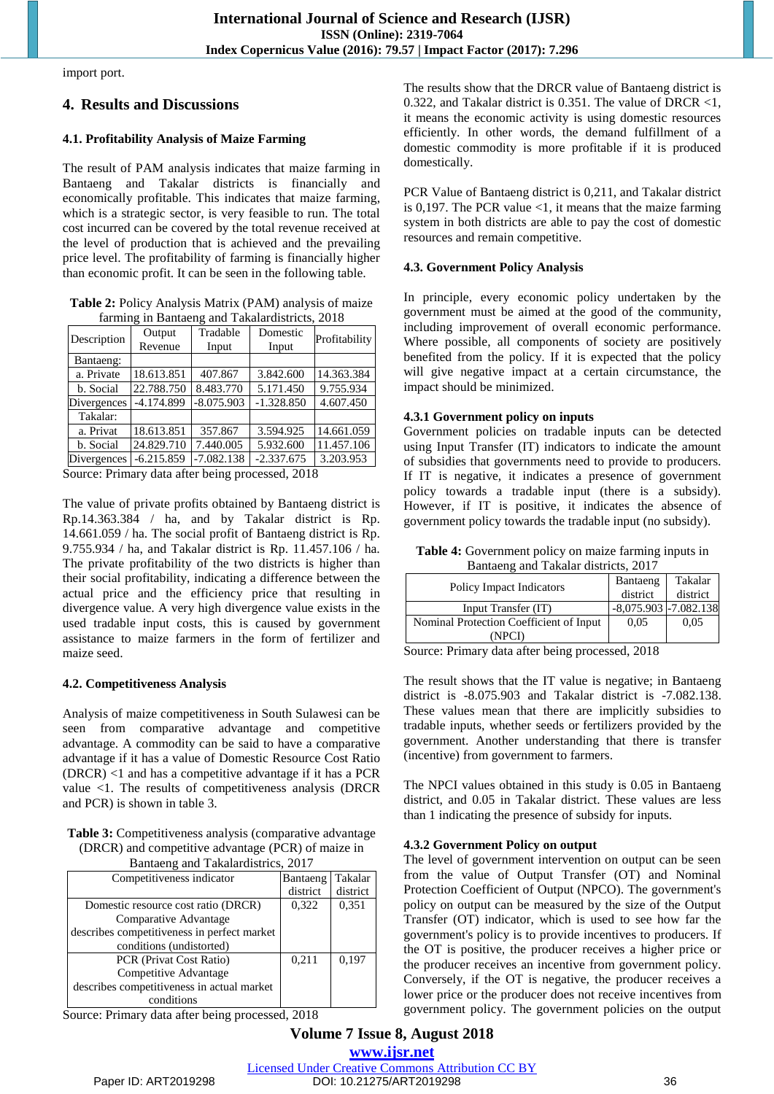import port.

# **4. Results and Discussions**

## **4.1. Profitability Analysis of Maize Farming**

The result of PAM analysis indicates that maize farming in Bantaeng and Takalar districts is financially and economically profitable. This indicates that maize farming, which is a strategic sector, is very feasible to run. The total cost incurred can be covered by the total revenue received at the level of production that is achieved and the prevailing price level. The profitability of farming is financially higher than economic profit. It can be seen in the following table.

**Table 2:** Policy Analysis Matrix (PAM) analysis of maize farming in Bantaeng and Takalardistricts, 2018

| Description | Output       | Tradable     | Domestic     | Profitability |
|-------------|--------------|--------------|--------------|---------------|
|             | Revenue      | Input        | Input        |               |
| Bantaeng:   |              |              |              |               |
| a. Private  | 18.613.851   | 407.867      | 3.842.600    | 14.363.384    |
| b. Social   | 22.788.750   | 8.483.770    | 5.171.450    | 9.755.934     |
| Divergences | $-4.174.899$ | $-8.075.903$ | $-1.328.850$ | 4.607.450     |
| Takalar:    |              |              |              |               |
| a. Privat   | 18.613.851   | 357.867      | 3.594.925    | 14.661.059    |
| b. Social   | 24.829.710   | 7.440.005    | 5.932.600    | 11.457.106    |
| Divergences | $-6.215.859$ | $-7.082.138$ | $-2.337.675$ | 3.203.953     |

Source: Primary data after being processed, 2018

The value of private profits obtained by Bantaeng district is Rp.14.363.384 / ha, and by Takalar district is Rp. 14.661.059 / ha. The social profit of Bantaeng district is Rp. 9.755.934 / ha, and Takalar district is Rp. 11.457.106 / ha. The private profitability of the two districts is higher than their social profitability, indicating a difference between the actual price and the efficiency price that resulting in divergence value. A very high divergence value exists in the used tradable input costs, this is caused by government assistance to maize farmers in the form of fertilizer and maize seed.

## **4.2. Competitiveness Analysis**

Analysis of maize competitiveness in South Sulawesi can be seen from comparative advantage and competitive advantage. A commodity can be said to have a comparative advantage if it has a value of Domestic Resource Cost Ratio (DRCR) <1 and has a competitive advantage if it has a PCR value <1. The results of competitiveness analysis (DRCR and PCR) is shown in table 3.

**Table 3:** Competitiveness analysis (comparative advantage (DRCR) and competitive advantage (PCR) of maize in

| Bantaeng and Takalardistrics, 2017          |          |          |  |
|---------------------------------------------|----------|----------|--|
| Competitiveness indicator                   | Bantaeng | Takalar  |  |
|                                             | district | district |  |
| Domestic resource cost ratio (DRCR)         | 0,322    | 0.351    |  |
| Comparative Advantage                       |          |          |  |
| describes competitiveness in perfect market |          |          |  |
| conditions (undistorted)                    |          |          |  |
| PCR (Privat Cost Ratio)                     | 0.211    | 0,197    |  |
| Competitive Advantage                       |          |          |  |
| describes competitiveness in actual market  |          |          |  |
| conditions                                  |          |          |  |

Source: Primary data after being processed, 2018

The results show that the DRCR value of Bantaeng district is 0.322, and Takalar district is 0.351. The value of DRCR <1, it means the economic activity is using domestic resources efficiently. In other words, the demand fulfillment of a domestic commodity is more profitable if it is produced domestically.

PCR Value of Bantaeng district is 0,211, and Takalar district is 0,197. The PCR value  $\leq 1$ , it means that the maize farming system in both districts are able to pay the cost of domestic resources and remain competitive.

## **4.3. Government Policy Analysis**

In principle, every economic policy undertaken by the government must be aimed at the good of the community, including improvement of overall economic performance. Where possible, all components of society are positively benefited from the policy. If it is expected that the policy will give negative impact at a certain circumstance, the impact should be minimized.

## **4.3.1 Government policy on inputs**

Government policies on tradable inputs can be detected using Input Transfer (IT) indicators to indicate the amount of subsidies that governments need to provide to producers. If IT is negative, it indicates a presence of government policy towards a tradable input (there is a subsidy). However, if IT is positive, it indicates the absence of government policy towards the tradable input (no subsidy).

**Table 4:** Government policy on maize farming inputs in Bantaeng and Takalar districts, 2017

| Policy Impact Indicators                | Bantaeng                  | Takalar  |
|-----------------------------------------|---------------------------|----------|
|                                         | district                  | district |
| Input Transfer (IT)                     | $-8,075.903$ $-7.082.138$ |          |
| Nominal Protection Coefficient of Input | 0.05                      | 0.05     |
| (NPCI                                   |                           |          |

Source: Primary data after being processed, 2018

The result shows that the IT value is negative; in Bantaeng district is -8.075.903 and Takalar district is -7.082.138. These values mean that there are implicitly subsidies to tradable inputs, whether seeds or fertilizers provided by the government. Another understanding that there is transfer (incentive) from government to farmers.

The NPCI values obtained in this study is 0.05 in Bantaeng district, and 0.05 in Takalar district. These values are less than 1 indicating the presence of subsidy for inputs.

## **4.3.2 Government Policy on output**

The level of government intervention on output can be seen from the value of Output Transfer (OT) and Nominal Protection Coefficient of Output (NPCO). The government's policy on output can be measured by the size of the Output Transfer (OT) indicator, which is used to see how far the government's policy is to provide incentives to producers. If the OT is positive, the producer receives a higher price or the producer receives an incentive from government policy. Conversely, if the OT is negative, the producer receives a lower price or the producer does not receive incentives from government policy. The government policies on the output

**Volume 7 Issue 8, August 2018 <www.ijsr.net>** [Licensed Under Creative Commons Attribution CC BY](http://creativecommons.org/licenses/by/4.0/)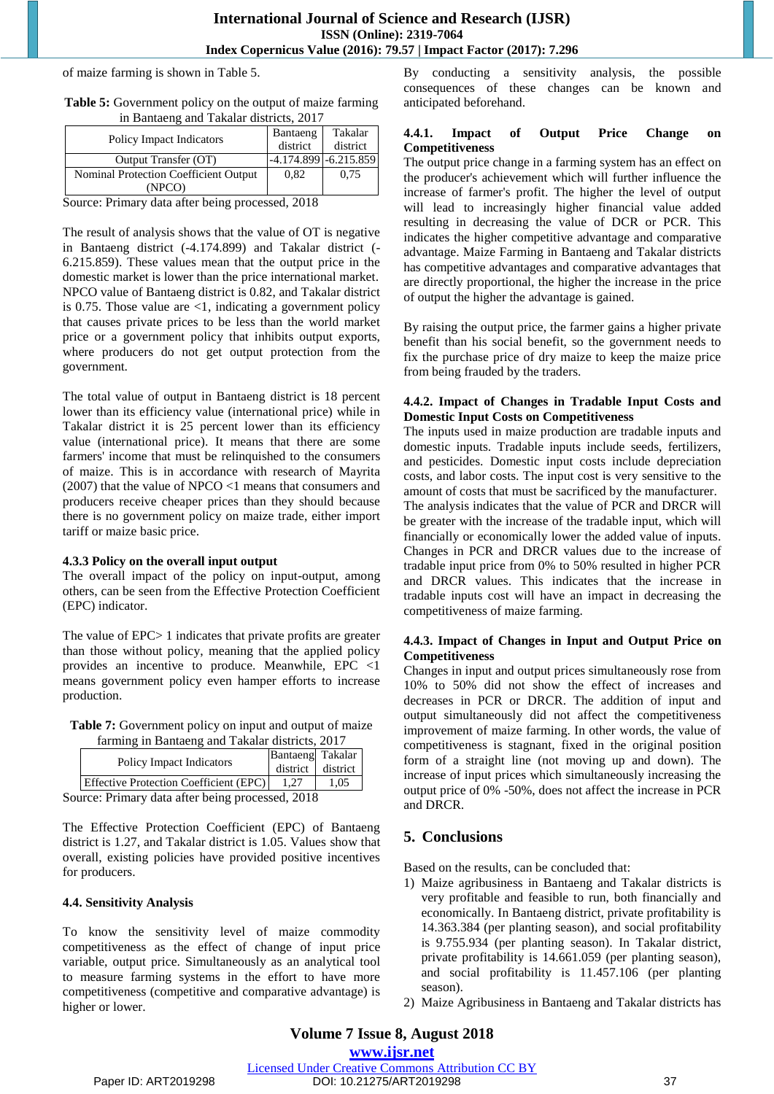## **International Journal of Science and Research (IJSR) ISSN (Online): 2319-7064 Index Copernicus Value (2016): 79.57 | Impact Factor (2017): 7.296**

of maize farming is shown in Table 5.

| <b>Table 5:</b> Government policy on the output of maize farming |  |
|------------------------------------------------------------------|--|
| in Bantaeng and Takalar districts, 2017                          |  |

| Policy Impact Indicators                             | Bantaeng | Takalar                   |
|------------------------------------------------------|----------|---------------------------|
|                                                      | district | district                  |
| Output Transfer (OT)                                 |          | $-4.174.899$ $-6.215.859$ |
| Nominal Protection Coefficient Output                | 0.82     | 0.75                      |
| (NPCO)                                               |          |                           |
| $\alpha$ , , $\mathbf{n}$ , , 1, $\alpha$ , 1, , , 1 |          |                           |

Source: Primary data after being processed, 2018

The result of analysis shows that the value of OT is negative in Bantaeng district (-4.174.899) and Takalar district (- 6.215.859). These values mean that the output price in the domestic market is lower than the price international market. NPCO value of Bantaeng district is 0.82, and Takalar district is 0.75. Those value are  $\leq 1$ , indicating a government policy that causes private prices to be less than the world market price or a government policy that inhibits output exports, where producers do not get output protection from the government.

The total value of output in Bantaeng district is 18 percent lower than its efficiency value (international price) while in Takalar district it is 25 percent lower than its efficiency value (international price). It means that there are some farmers' income that must be relinquished to the consumers of maize. This is in accordance with research of Mayrita (2007) that the value of NPCO <1 means that consumers and producers receive cheaper prices than they should because there is no government policy on maize trade, either import tariff or maize basic price.

#### **4.3.3 Policy on the overall input output**

The overall impact of the policy on input-output, among others, can be seen from the Effective Protection Coefficient (EPC) indicator.

The value of EPC> 1 indicates that private profits are greater than those without policy, meaning that the applied policy provides an incentive to produce. Meanwhile, EPC <1 means government policy even hamper efforts to increase production.

| <b>Table 7:</b> Government policy on input and output of maize |
|----------------------------------------------------------------|
| farming in Bantaeng and Takalar districts, 2017                |

|                                                 | Policy Impact Indicators                      | Bantaeng Takalar<br>district district |      |
|-------------------------------------------------|-----------------------------------------------|---------------------------------------|------|
|                                                 | <b>Effective Protection Coefficient (EPC)</b> |                                       | 1.05 |
| Source: Primary data after being processed 2018 |                                               |                                       |      |

Source: Primary data after being processed, 2018

The Effective Protection Coefficient (EPC) of Bantaeng district is 1.27, and Takalar district is 1.05. Values show that overall, existing policies have provided positive incentives for producers.

#### **4.4. Sensitivity Analysis**

To know the sensitivity level of maize commodity competitiveness as the effect of change of input price variable, output price. Simultaneously as an analytical tool to measure farming systems in the effort to have more competitiveness (competitive and comparative advantage) is higher or lower.

By conducting a sensitivity analysis, the possible consequences of these changes can be known and anticipated beforehand.

#### **4.4.1. Impact of Output Price Change on Competitiveness**

The output price change in a farming system has an effect on the producer's achievement which will further influence the increase of farmer's profit. The higher the level of output will lead to increasingly higher financial value added resulting in decreasing the value of DCR or PCR. This indicates the higher competitive advantage and comparative advantage. Maize Farming in Bantaeng and Takalar districts has competitive advantages and comparative advantages that are directly proportional, the higher the increase in the price of output the higher the advantage is gained.

By raising the output price, the farmer gains a higher private benefit than his social benefit, so the government needs to fix the purchase price of dry maize to keep the maize price from being frauded by the traders.

#### **4.4.2. Impact of Changes in Tradable Input Costs and Domestic Input Costs on Competitiveness**

The inputs used in maize production are tradable inputs and domestic inputs. Tradable inputs include seeds, fertilizers, and pesticides. Domestic input costs include depreciation costs, and labor costs. The input cost is very sensitive to the amount of costs that must be sacrificed by the manufacturer. The analysis indicates that the value of PCR and DRCR will be greater with the increase of the tradable input, which will financially or economically lower the added value of inputs. Changes in PCR and DRCR values due to the increase of tradable input price from 0% to 50% resulted in higher PCR and DRCR values. This indicates that the increase in tradable inputs cost will have an impact in decreasing the competitiveness of maize farming.

## **4.4.3. Impact of Changes in Input and Output Price on Competitiveness**

Changes in input and output prices simultaneously rose from 10% to 50% did not show the effect of increases and decreases in PCR or DRCR. The addition of input and output simultaneously did not affect the competitiveness improvement of maize farming. In other words, the value of competitiveness is stagnant, fixed in the original position form of a straight line (not moving up and down). The increase of input prices which simultaneously increasing the output price of 0% -50%, does not affect the increase in PCR and DRCR.

# **5. Conclusions**

Based on the results, can be concluded that:

- 1) Maize agribusiness in Bantaeng and Takalar districts is very profitable and feasible to run, both financially and economically. In Bantaeng district, private profitability is 14.363.384 (per planting season), and social profitability is 9.755.934 (per planting season). In Takalar district, private profitability is 14.661.059 (per planting season), and social profitability is 11.457.106 (per planting season).
- 2) Maize Agribusiness in Bantaeng and Takalar districts has

**Volume 7 Issue 8, August 2018**